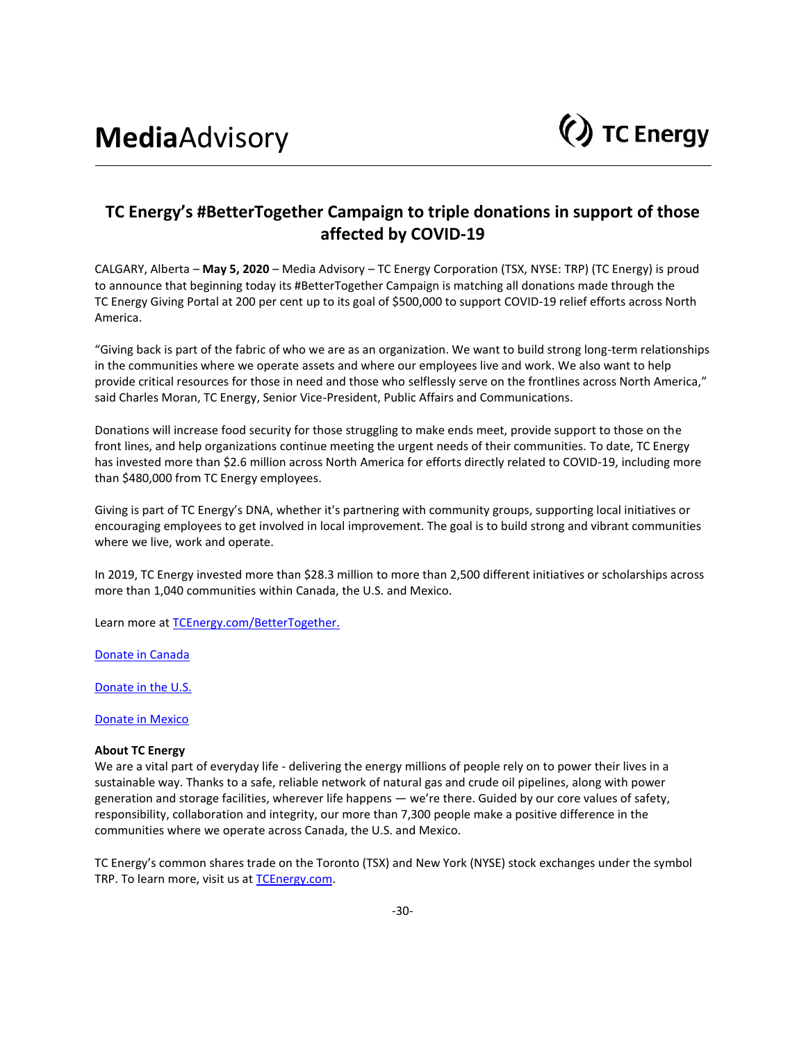

## **TC Energy's #BetterTogether Campaign to triple donations in support of those affected by COVID-19**

CALGARY, Alberta – **May 5, 2020** – Media Advisory – TC Energy Corporation (TSX, NYSE: TRP) (TC Energy) is proud to announce that beginning today its #BetterTogether Campaign is matching all donations made through the TC Energy Giving Portal at 200 per cent up to its goal of \$500,000 to support COVID-19 relief efforts across North America.

"Giving back is part of the fabric of who we are as an organization. We want to build strong long-term relationships in the communities where we operate assets and where our employees live and work. We also want to help provide critical resources for those in need and those who selflessly serve on the frontlines across North America," said Charles Moran, TC Energy, Senior Vice-President, Public Affairs and Communications.

Donations will increase food security for those struggling to make ends meet, provide support to those on the front lines, and help organizations continue meeting the urgent needs of their communities. To date, TC Energy has invested more than \$2.6 million across North America for efforts directly related to COVID-19, including more than \$480,000 from TC Energy employees.

Giving is part of TC Energy's DNA, whether it's partnering with community groups, supporting local initiatives or encouraging employees to get involved in local improvement. The goal is to build strong and vibrant communities where we live, work and operate.

In 2019, TC Energy invested more than \$28.3 million to more than 2,500 different initiatives or scholarships across more than 1,040 communities within Canada, the U.S. and Mexico.

Learn more at [TCEnergy.com/BetterTogether.](https://www.tcenergy.com/BetterTogether)

[Donate in Canada](https://tcenergy.benevity.org/community/fundraiser/40238) 

[Donate in the U.S.](https://tcenergy.benevity.org/community/fundraiser/40239)

[Donate in Mexico](https://tcenergy.benevity.org/community/fundraiser/40241)

## **About TC Energy**

We are a vital part of everyday life - delivering the energy millions of people rely on to power their lives in a sustainable way. Thanks to a safe, reliable network of natural gas and crude oil pipelines, along with power generation and storage facilities, wherever life happens — we're there. Guided by our core values of safety, responsibility, collaboration and integrity, our more than 7,300 people make a positive difference in the communities where we operate across Canada, the U.S. and Mexico.

TC Energy's common shares trade on the Toronto (TSX) and New York (NYSE) stock exchanges under the symbol TRP. To learn more, visit us at [TCEnergy.com.](https://www.tcenergy.com/)